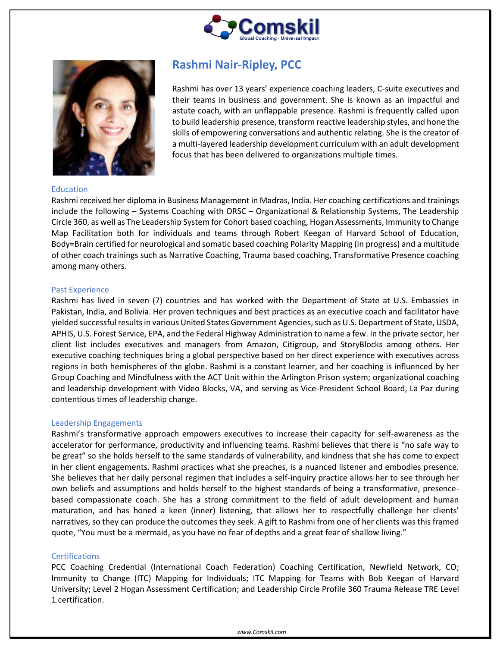



# Education

# **Rashmi Nair-Ripley, PCC**

Rashmi has over 13 years' experience coaching leaders, C-suite executives and their teams in business and government. She is known as an impactful and astute coach, with an unflappable presence. Rashmi is frequently called upon to build leadership presence, transform reactive leadership styles, and hone the skills of empowering conversations and authentic relating. She is the creator of a multi-layered leadership development curriculum with an adult development focus that has been delivered to organizations multiple times.

Rashmi received her diploma in Business Management in Madras, India. Her coaching certifications and trainings include the following – Systems Coaching with ORSC – Organizational & Relationship Systems, The Leadership Circle 360, as well as The Leadership System for Cohort based coaching, Hogan Assessments, Immunity to Change Map Facilitation both for individuals and teams through Robert Keegan of Harvard School of Education, Body=Brain certified for neurological and somatic based coaching Polarity Mapping (in progress) and a multitude of other coach trainings such as Narrative Coaching, Trauma based coaching, Transformative Presence coaching among many others.

# Past Experience

Rashmi has lived in seven (7) countries and has worked with the Department of State at U.S. Embassies in Pakistan, India, and Bolivia. Her proven techniques and best practices as an executive coach and facilitator have yielded successful results in various United States Government Agencies, such as U.S. Department of State, USDA, APHIS, U.S. Forest Service, EPA, and the Federal Highway Administration to name a few. In the private sector, her client list includes executives and managers from Amazon, Citigroup, and StoryBlocks among others. Her executive coaching techniques bring a global perspective based on her direct experience with executives across regions in both hemispheres of the globe. Rashmi is a constant learner, and her coaching is influenced by her Group Coaching and Mindfulness with the ACT Unit within the Arlington Prison system; organizational coaching and leadership development with Video Blocks, VA, and serving as Vice-President School Board, La Paz during contentious times of leadership change.

# Leadership Engagements

Rashmi's transformative approach empowers executives to increase their capacity for self-awareness as the accelerator for performance, productivity and influencing teams. Rashmi believes that there is "no safe way to be great" so she holds herself to the same standards of vulnerability, and kindness that she has come to expect in her client engagements. Rashmi practices what she preaches, is a nuanced listener and embodies presence. She believes that her daily personal regimen that includes a self-inquiry practice allows her to see through her own beliefs and assumptions and holds herself to the highest standards of being a transformative, presencebased compassionate coach. She has a strong commitment to the field of adult development and human maturation, and has honed a keen (inner) listening, that allows her to respectfully challenge her clients' narratives, so they can produce the outcomes they seek. A gift to Rashmi from one of her clients was this framed quote, "You must be a mermaid, as you have no fear of depths and a great fear of shallow living."

#### **Certifications**

PCC Coaching Credential (International Coach Federation) Coaching Certification, Newfield Network, CO; Immunity to Change (ITC) Mapping for Individuals; ITC Mapping for Teams with Bob Keegan of Harvard University; Level 2 Hogan Assessment Certification; and Leadership Circle Profile 360 Trauma Release TRE Level 1 certification.